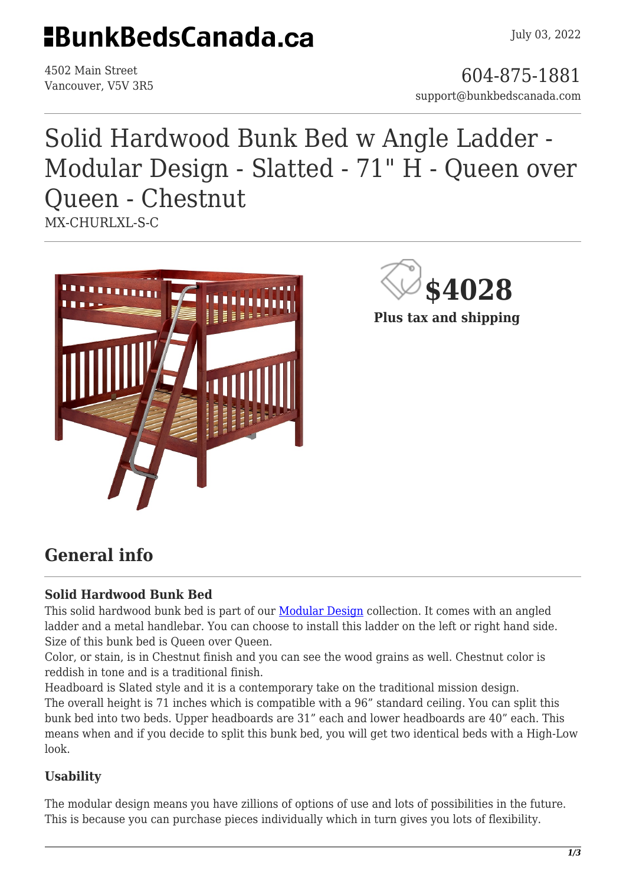# **HBunkBedsCanada.ca**

4502 Main Street

4502 Main Street<br>Vancouver, V5V 3R5 support@bunkbedscanada.com

## Solid Hardwood Bunk Bed w Angle Ladder - Modular Design - Slatted - 71" H - Queen over Queen - Chestnut MX-CHURLXL-S-C





**Plus tax and shipping**

### **General info**

#### **Solid Hardwood Bunk Bed**

This solid hardwood bunk bed is part of our [Modular Design](https://bunkbedscanada.com/about-modular-collection) collection. It comes with an angled ladder and a metal handlebar. You can choose to install this ladder on the left or right hand side. Size of this bunk bed is Queen over Queen.

Color, or stain, is in Chestnut finish and you can see the wood grains as well. Chestnut color is reddish in tone and is a traditional finish.

Headboard is Slated style and it is a contemporary take on the traditional mission design.

The overall height is 71 inches which is compatible with a 96" standard ceiling. You can split this bunk bed into two beds. Upper headboards are 31" each and lower headboards are 40" each. This means when and if you decide to split this bunk bed, you will get two identical beds with a High-Low look.

#### **Usability**

The modular design means you have zillions of options of use and lots of possibilities in the future. This is because you can purchase pieces individually which in turn gives you lots of flexibility.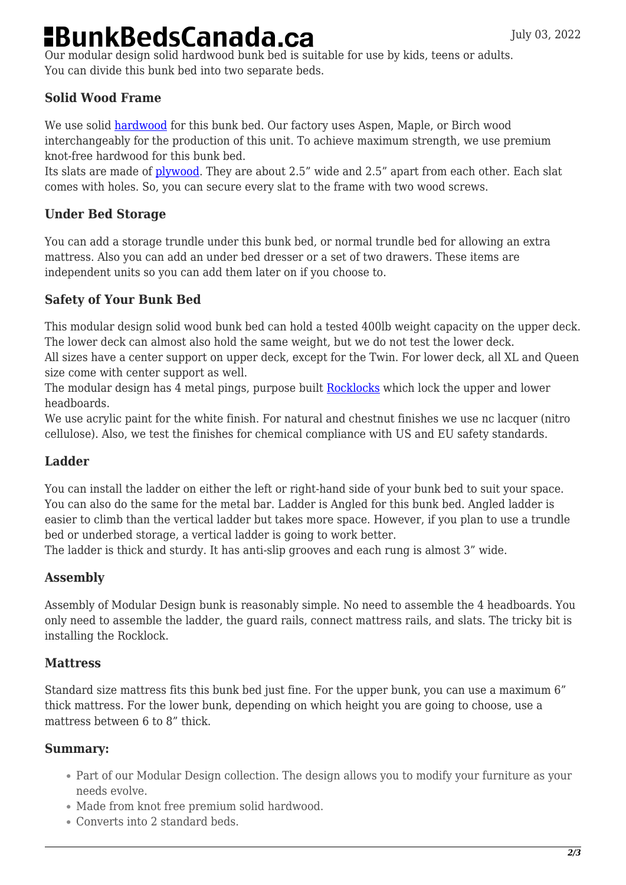## **BunkBedsCanada.ca**

Our modular design solid hardwood bunk bed is suitable for use by kids, teens or adults. You can divide this bunk bed into two separate beds.

#### **Solid Wood Frame**

We use solid [hardwood](https://en.wikipedia.org/wiki/Hardwood) for this bunk bed. Our factory uses Aspen, Maple, or Birch wood interchangeably for the production of this unit. To achieve maximum strength, we use premium knot-free hardwood for this bunk bed.

Its slats are made of [plywood.](https://en.wikipedia.org/wiki/Plywood) They are about 2.5" wide and 2.5" apart from each other. Each slat comes with holes. So, you can secure every slat to the frame with two wood screws.

#### **Under Bed Storage**

You can add a storage trundle under this bunk bed, or normal trundle bed for allowing an extra mattress. Also you can add an under bed dresser or a set of two drawers. These items are independent units so you can add them later on if you choose to.

#### **Safety of Your Bunk Bed**

This modular design solid wood bunk bed can hold a tested 400lb weight capacity on the upper deck. The lower deck can almost also hold the same weight, but we do not test the lower deck.

All sizes have a center support on upper deck, except for the Twin. For lower deck, all XL and Queen size come with center support as well.

The modular design has 4 metal pings, purpose built [Rocklocks](https://bunkbedscanada.com/rock-locks-set-of-4.html) which lock the upper and lower headboards.

We use acrylic paint for the white finish. For natural and chestnut finishes we use nc lacquer (nitro cellulose). Also, we test the finishes for chemical compliance with US and EU safety standards.

#### **Ladder**

You can install the ladder on either the left or right-hand side of your bunk bed to suit your space. You can also do the same for the metal bar. Ladder is Angled for this bunk bed. Angled ladder is easier to climb than the vertical ladder but takes more space. However, if you plan to use a trundle bed or underbed storage, a vertical ladder is going to work better.

The ladder is thick and sturdy. It has anti-slip grooves and each rung is almost 3" wide.

#### **Assembly**

Assembly of Modular Design bunk is reasonably simple. No need to assemble the 4 headboards. You only need to assemble the ladder, the guard rails, connect mattress rails, and slats. The tricky bit is installing the Rocklock.

#### **Mattress**

Standard size mattress fits this bunk bed just fine. For the upper bunk, you can use a maximum 6" thick mattress. For the lower bunk, depending on which height you are going to choose, use a mattress between 6 to 8" thick.

#### **Summary:**

- Part of our Modular Design collection. The design allows you to modify your furniture as your needs evolve.
- Made from knot free premium solid hardwood.
- Converts into 2 standard beds.